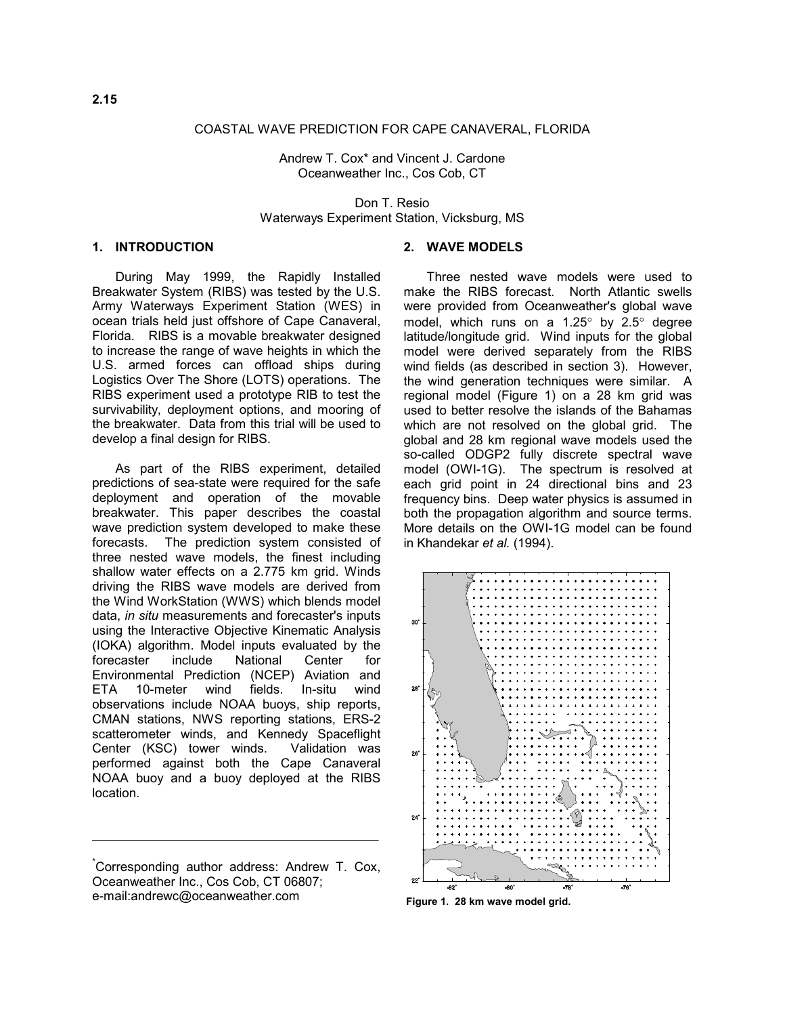#### COASTAL WAVE PREDICTION FOR CAPE CANAVERAL, FLORIDA

Andrew T. Cox\* and Vincent J. Cardone Oceanweather Inc., Cos Cob, CT

Don T. Resio Waterways Experiment Station, Vicksburg, MS

## **1. INTRODUCTION**

During May 1999, the Rapidly Installed Breakwater System (RIBS) was tested by the U.S. Army Waterways Experiment Station (WES) in ocean trials held just offshore of Cape Canaveral, Florida. RIBS is a movable breakwater designed to increase the range of wave heights in which the U.S. armed forces can offload ships during Logistics Over The Shore (LOTS) operations. The RIBS experiment used a prototype RIB to test the survivability, deployment options, and mooring of the breakwater. Data from this trial will be used to develop a final design for RIBS.

As part of the RIBS experiment, detailed predictions of sea-state were required for the safe deployment and operation of the movable breakwater. This paper describes the coastal wave prediction system developed to make these forecasts. The prediction system consisted of three nested wave models, the finest including shallow water effects on a 2.775 km grid. Winds driving the RIBS wave models are derived from the Wind WorkStation (WWS) which blends model data, *in situ* measurements and forecaster's inputs using the Interactive Objective Kinematic Analysis (IOKA) algorithm. Model inputs evaluated by the forecaster include National Center for Environmental Prediction (NCEP) Aviation and ETA 10-meter wind fields. In-situ wind observations include NOAA buoys, ship reports, CMAN stations, NWS reporting stations, ERS-2 scatterometer winds, and Kennedy Spaceflight Center (KSC) tower winds. Validation was performed against both the Cape Canaveral NOAA buoy and a buoy deployed at the RIBS location.

### **2. WAVE MODELS**

Three nested wave models were used to make the RIBS forecast. North Atlantic swells were provided from Oceanweather's global wave model, which runs on a 1.25° by 2.5° degree latitude/longitude grid. Wind inputs for the global model were derived separately from the RIBS wind fields (as described in section 3). However, the wind generation techniques were similar. A regional model (Figure 1) on a 28 km grid was used to better resolve the islands of the Bahamas which are not resolved on the global grid. The global and 28 km regional wave models used the so-called ODGP2 fully discrete spectral wave model (OWI-1G). The spectrum is resolved at each grid point in 24 directional bins and 23 frequency bins. Deep water physics is assumed in both the propagation algorithm and source terms. More details on the OWI-1G model can be found in Khandekar *et al.* (1994).



**Figure 1. 28 km wave model grid.**

<sup>\*</sup> Corresponding author address: Andrew T. Cox, Oceanweather Inc., Cos Cob, CT 06807; e-mail:andrewc@oceanweather.com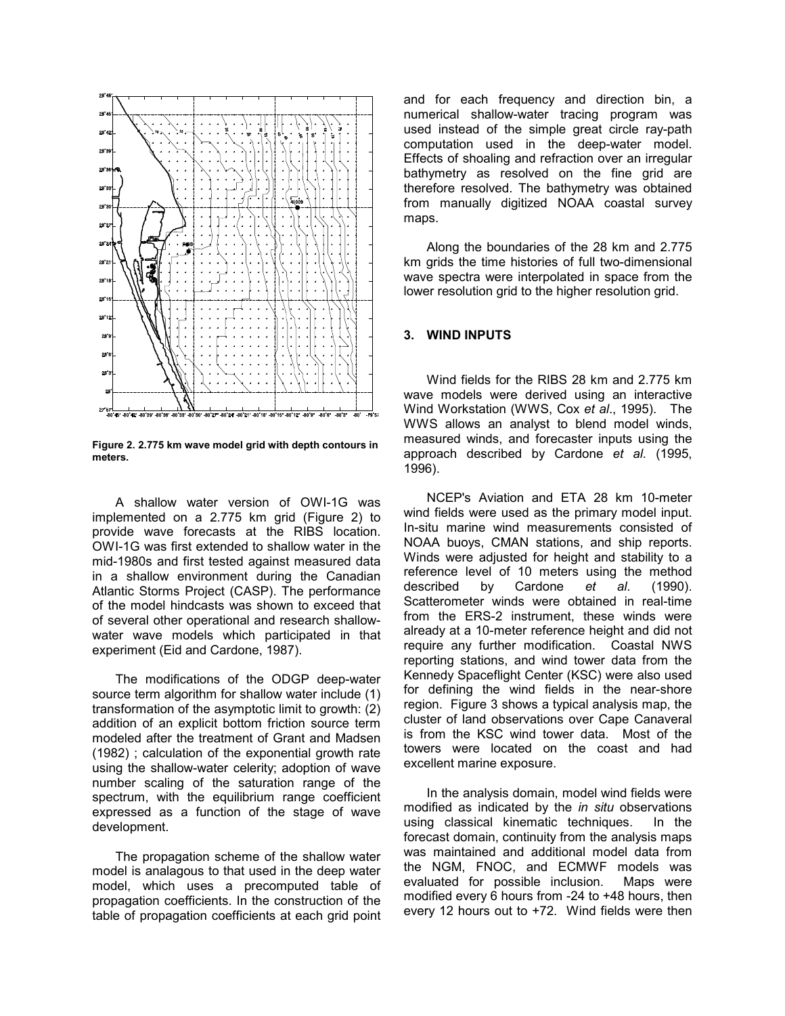

**Figure 2. 2.775 km wave model grid with depth contours in meters.**

A shallow water version of OWI-1G was implemented on a 2.775 km grid (Figure 2) to provide wave forecasts at the RIBS location. OWI-1G was first extended to shallow water in the mid-1980s and first tested against measured data in a shallow environment during the Canadian Atlantic Storms Project (CASP). The performance of the model hindcasts was shown to exceed that of several other operational and research shallowwater wave models which participated in that experiment (Eid and Cardone, 1987).

The modifications of the ODGP deep-water source term algorithm for shallow water include (1) transformation of the asymptotic limit to growth: (2) addition of an explicit bottom friction source term modeled after the treatment of Grant and Madsen (1982) ; calculation of the exponential growth rate using the shallow-water celerity; adoption of wave number scaling of the saturation range of the spectrum, with the equilibrium range coefficient expressed as a function of the stage of wave development.

The propagation scheme of the shallow water model is analagous to that used in the deep water model, which uses a precomputed table of propagation coefficients. In the construction of the table of propagation coefficients at each grid point and for each frequency and direction bin, a numerical shallow-water tracing program was used instead of the simple great circle ray-path computation used in the deep-water model. Effects of shoaling and refraction over an irregular bathymetry as resolved on the fine grid are therefore resolved. The bathymetry was obtained from manually digitized NOAA coastal survey maps.

Along the boundaries of the 28 km and 2.775 km grids the time histories of full two-dimensional wave spectra were interpolated in space from the lower resolution grid to the higher resolution grid.

#### **3. WIND INPUTS**

Wind fields for the RIBS 28 km and 2.775 km wave models were derived using an interactive Wind Workstation (WWS, Cox *et al*., 1995). The WWS allows an analyst to blend model winds, measured winds, and forecaster inputs using the approach described by Cardone *et al.* (1995, 1996).

NCEP's Aviation and ETA 28 km 10-meter wind fields were used as the primary model input. In-situ marine wind measurements consisted of NOAA buoys, CMAN stations, and ship reports. Winds were adjusted for height and stability to a reference level of 10 meters using the method described by Cardone *et al*. (1990). Scatterometer winds were obtained in real-time from the ERS-2 instrument, these winds were already at a 10-meter reference height and did not require any further modification. Coastal NWS reporting stations, and wind tower data from the Kennedy Spaceflight Center (KSC) were also used for defining the wind fields in the near-shore region. Figure 3 shows a typical analysis map, the cluster of land observations over Cape Canaveral is from the KSC wind tower data. Most of the towers were located on the coast and had excellent marine exposure.

In the analysis domain, model wind fields were modified as indicated by the *in situ* observations using classical kinematic techniques. In the forecast domain, continuity from the analysis maps was maintained and additional model data from the NGM, FNOC, and ECMWF models was evaluated for possible inclusion. Maps were modified every 6 hours from -24 to +48 hours, then every 12 hours out to +72. Wind fields were then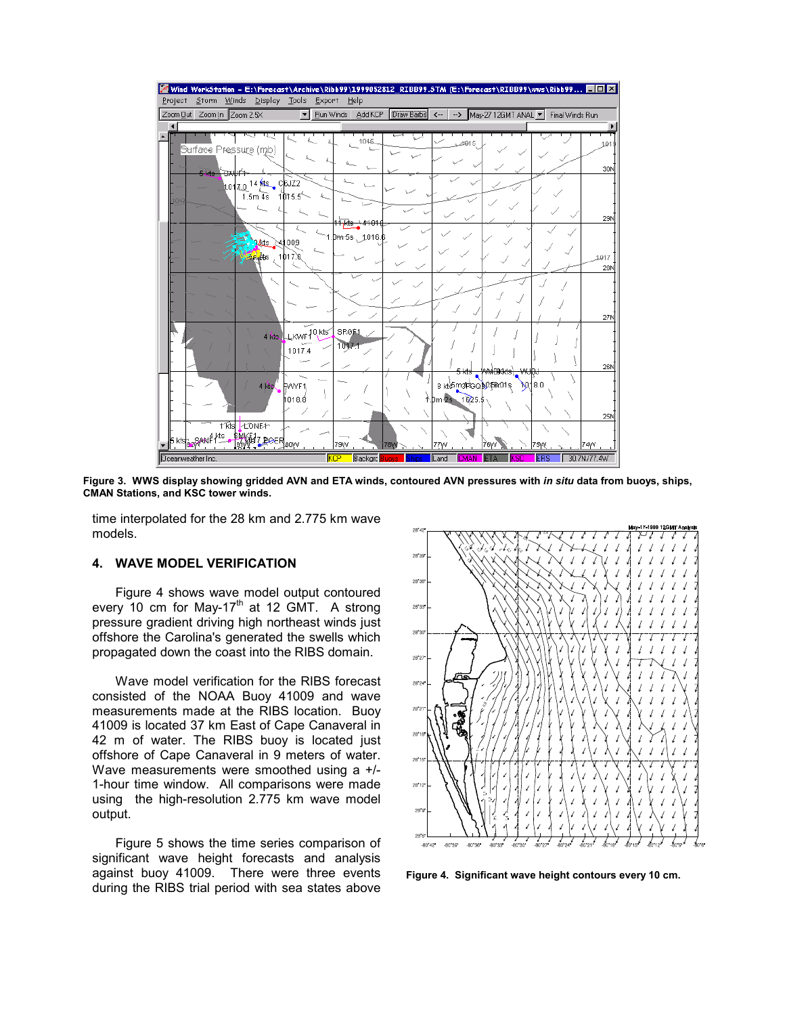

**Figure 3. WWS display showing gridded AVN and ETA winds, contoured AVN pressures with** *in situ* **data from buoys, ships, CMAN Stations, and KSC tower winds.** 

time interpolated for the 28 km and 2.775 km wave models.

### **4. WAVE MODEL VERIFICATION**

Figure 4 shows wave model output contoured every 10 cm for May-17<sup>th</sup> at 12 GMT. A strong pressure gradient driving high northeast winds just offshore the Carolina's generated the swells which propagated down the coast into the RIBS domain.

Wave model verification for the RIBS forecast consisted of the NOAA Buoy 41009 and wave measurements made at the RIBS location. Buoy 41009 is located 37 km East of Cape Canaveral in 42 m of water. The RIBS buoy is located just offshore of Cape Canaveral in 9 meters of water. Wave measurements were smoothed using a +/- 1-hour time window. All comparisons were made using the high-resolution 2.775 km wave model output.

Figure 5 shows the time series comparison of significant wave height forecasts and analysis against buoy 41009. There were three events during the RIBS trial period with sea states above



**Figure 4. Significant wave height contours every 10 cm.**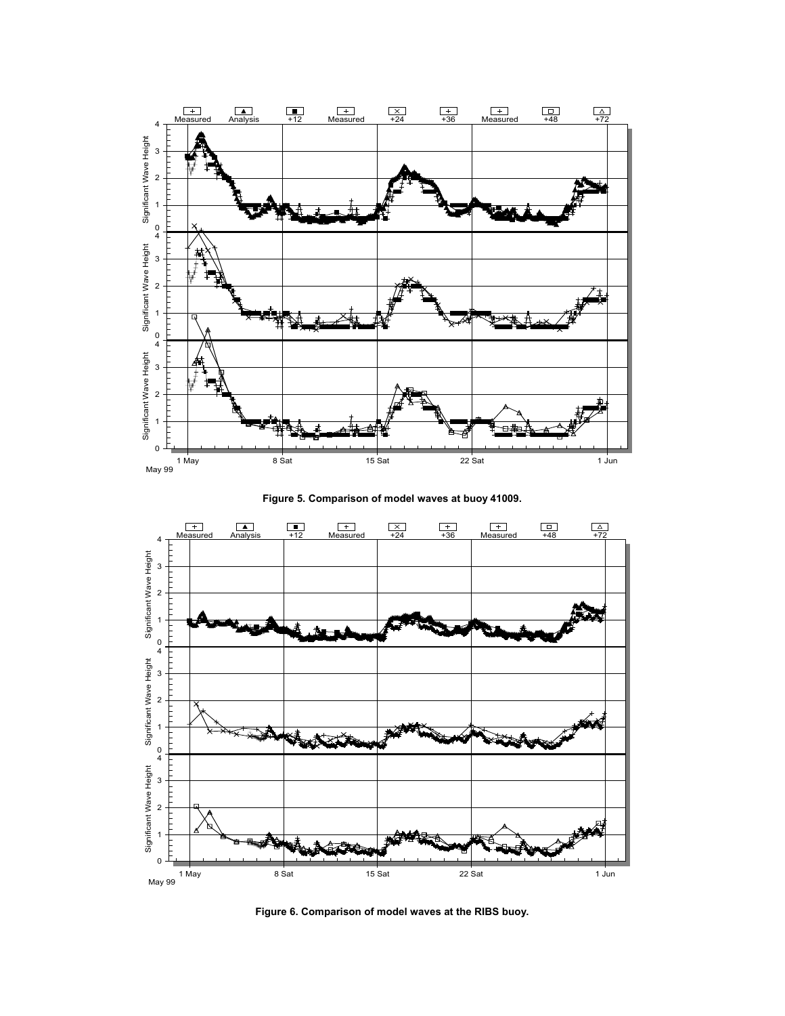

**Figure 5. Comparison of model waves at buoy 41009.**



**Figure 6. Comparison of model waves at the RIBS buoy.**